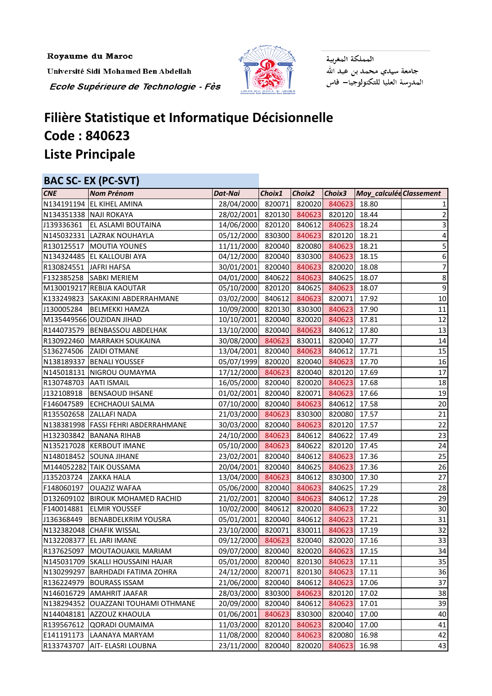Royaume du Maroc

Université Sidi Mohamed Ben Abdellah Ecole Supérieure de Technologie - Fès



المملكة المغربية جامعة سيدي محمد بن عبد الله<br>المدرسة العليا للتكنولوجيا— فاس

## **Filière Statistique et Informatique Décisionnelle Liste Principale Code : 840623**

## **BAC SC- EX (PC-SVT)**

| <b>CNE</b>             | <b>Nom Prénom</b>                   | Dat-Nai                               | Choix1 | <b>Choix2</b> | Choix3       | Moy_calculée Classement |                  |
|------------------------|-------------------------------------|---------------------------------------|--------|---------------|--------------|-------------------------|------------------|
|                        | N134191194 EL KIHEL AMINA           | 28/04/2000 820071                     |        | 820020        | 840623       | 18.80                   |                  |
| N134351338 NAJI ROKAYA |                                     | 28/02/2001 820130 840623 820120 18.44 |        |               |              |                         | $\overline{2}$   |
| J139336361             | <b>EL ASLAMI BOUTAINA</b>           | 14/06/2000 820120                     |        | 840612        | 840623       | 18.24                   | 3                |
|                        | N145032331 LAZRAK NOUHAYLA          | 05/12/2000 830300 840623              |        |               | 820120 18.21 |                         | 4                |
|                        | R130125517 MOUTIA YOUNES            | 11/11/2000                            | 820040 | 820080        | 840623       | 18.21                   | 5                |
|                        | N134324485 EL KALLOUBI AYA          | 04/12/2000                            | 820040 | 830300        | 840623       | 18.15                   | 6                |
| R130824551 JAFRI HAFSA |                                     | 30/01/2001 820040                     |        | 840623        | 820020       | 18.08                   | 7                |
|                        | F132385258 SABKI MERIEM             | 04/01/2000 840622                     |        | 840623        | 840625       | 18.07                   | 8                |
|                        | M130019217 REBIJA KAOUTAR           | 05/10/2000 820120 840625              |        |               | 840623       | 18.07                   | $\boldsymbol{9}$ |
|                        | K133249823 SAKAKINI ABDERRAHMANE    | 03/02/2000                            | 840612 | 840623        | 820071       | 17.92                   | $10\,$           |
| J130005284             | <b>BELMEKKI HAMZA</b>               | 10/09/2000 820130 830300              |        |               | 840623       | 17.90                   | 11               |
|                        | M135449566 OUZIDAN JIHAD            | 10/10/2001 820040                     |        | 820020        | 840623       | 17.81                   | 12               |
|                        | R144073579 BENBASSOU ABDELHAK       | 13/10/2000 820040 840623              |        |               | 840612 17.80 |                         | 13               |
|                        | R130922460 MARRAKH SOUKAINA         | 30/08/2000 840623                     |        | 830011        | 820040 17.77 |                         | 14               |
|                        | S136274506 ZAIDI OTMANE             | 13/04/2001                            | 820040 | 840623        | 840612       | 17.71                   | $15\,$           |
|                        | N138189337 BENALI YOUSSEF           | 05/07/1999 820020 820040              |        |               | 840623       | 17.70                   | 16               |
|                        | N145018131 NIGROU OUMAYMA           | 17/12/2000 840623                     |        | 820040        | 820120 17.69 |                         | 17               |
| R130748703 AATI ISMAIL |                                     | 16/05/2000 820040 820020              |        |               | 840623       | 17.68                   | 18               |
| J132108918             | <b>BENSAOUD IHSANE</b>              | 01/02/2001 820040 820071              |        |               | 840623       | 17.66                   | 19               |
| F146047589             | <b>ECHCHAOUI SALMA</b>              | 07/10/2000 820040                     |        | 840623        | 840612       | 17.58                   | 20               |
|                        | R135502658 ZALLAFI NADA             | 21/03/2000 840623 830300              |        |               | 820080 17.57 |                         | 21               |
|                        | N138381998 FASSI FEHRI ABDERRAHMANE | 30/03/2000 820040                     |        | 840623        | 820120 17.57 |                         | 22               |
|                        | H132303842 BANANA RIHAB             | 24/10/2000 840623                     |        | 840612        | 840622 17.49 |                         | 23               |
|                        | N135217028 KERBOUT IMANE            | 05/10/2000 840623                     |        | 840622        | 820120 17.45 |                         | 24               |
|                        | N148018452 SOUNA JIHANE             | 23/02/2001                            | 820040 | 840612        | 840623       | 17.36                   | 25               |
|                        | M144052282 TAIK OUSSAMA             | 20/04/2001 820040 840625              |        |               | 840623       | 17.36                   | 26               |
| J135203724             | <b>ZAKKA HALA</b>                   | 13/04/2000 840623                     |        | 840612        | 830300       | 17.30                   | $\overline{27}$  |
| F148060197             | OUAZIZ WAFAA                        | 05/06/2000 820040                     |        | 840623        | 840625       | 17.29                   | 28               |
| D132609102             | <b>BIROUK MOHAMED RACHID</b>        | 21/02/2001                            | 820040 | 840623        | 840612       | 17.28                   | 29               |
|                        | F140014881 ELMIR YOUSSEF            | 10/02/2000 840612 820020 840623 17.22 |        |               |              |                         | 30               |
| J136368449             | <b>BENABDELKRIM YOUSRA</b>          | 05/01/2001                            | 820040 | 840612        | 840623       | 17.21                   | 31               |
|                        | N132382048 CHAFIK WISSAL            | 23/10/2000                            | 820071 | 830011        | 840623       | 17.19                   | 32               |
|                        | N132208377 EL JARI IMANE            | 09/12/2000                            | 840623 | 820040        | 820020       | 17.16                   | 33               |
| R137625097             | MOUTAOUAKIL MARIAM                  | 09/07/2000                            | 820040 | 820020        | 840623       | 17.15                   | 34               |
|                        | N145031709 SKALLI HOUSSAINI HAJAR   | 05/01/2000                            | 820040 | 820130        | 840623       | 17.11                   | 35               |
|                        | N130299297   BARHDADI FATIMA ZOHRA  | 24/12/2000                            | 820071 | 820130        | 840623       | 17.11                   | 36               |
| R136224979             | <b>BOURASS ISSAM</b>                | 21/06/2000                            | 820040 | 840612        | 840623       | 17.06                   | 37               |
| N146016729             | <b>AMAHRIT JAAFAR</b>               | 28/03/2000                            | 830300 | 840623        | 820120       | 17.02                   | 38               |
|                        | N138294352 OUAZZANI TOUHAMI OTHMANE | 20/09/2000                            | 820040 | 840612        | 840623       | 17.01                   | 39               |
|                        | N144048181 AZZOUZ KHAOULA           | 01/06/2001                            | 840623 | 830300        | 820040       | 17.00                   | 40               |
|                        | R139567612 QORADI OUMAIMA           | 11/03/2000                            | 820120 | 840623        | 820040       | 17.00                   | 41               |
| E141191173             | LAANAYA MARYAM                      | 11/08/2000                            | 820040 | 840623        | 820080       | 16.98                   | 42               |
|                        | R133743707 AIT- ELASRI LOUBNA       | 23/11/2000                            | 820040 | 820020        | 840623       | 16.98                   | 43               |